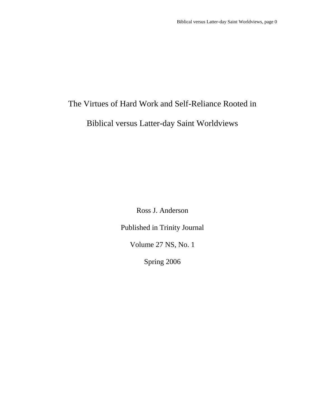# The Virtues of Hard Work and Self-Reliance Rooted in

## Biblical versus Latter-day Saint Worldviews

Ross J. Anderson

Published in Trinity Journal

Volume 27 NS, No. 1

Spring 2006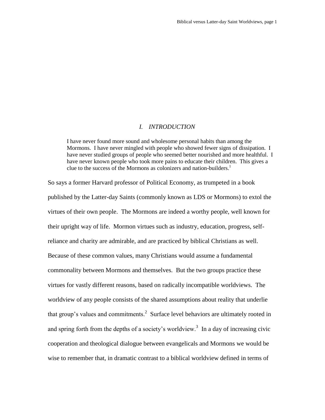#### *I. INTRODUCTION*

I have never found more sound and wholesome personal habits than among the Mormons. I have never mingled with people who showed fewer signs of dissipation. I have never studied groups of people who seemed better nourished and more healthful. I have never known people who took more pains to educate their children. This gives a clue to the success of the Mormons as colonizers and nation-builders.<sup>1</sup>

So says a former Harvard professor of Political Economy, as trumpeted in a book published by the Latter-day Saints (commonly known as LDS or Mormons) to extol the virtues of their own people. The Mormons are indeed a worthy people, well known for their upright way of life. Mormon virtues such as industry, education, progress, selfreliance and charity are admirable, and are practiced by biblical Christians as well. Because of these common values, many Christians would assume a fundamental commonality between Mormons and themselves. But the two groups practice these virtues for vastly different reasons, based on radically incompatible worldviews. The worldview of any people consists of the shared assumptions about reality that underlie that group's values and commitments. $2$  Surface level behaviors are ultimately rooted in and spring forth from the depths of a society's worldview.<sup>3</sup> In a day of increasing civic cooperation and theological dialogue between evangelicals and Mormons we would be wise to remember that, in dramatic contrast to a biblical worldview defined in terms of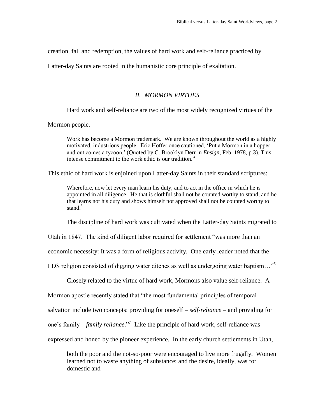creation, fall and redemption, the values of hard work and self-reliance practiced by

Latter-day Saints are rooted in the humanistic core principle of exaltation.

#### *II. MORMON VIRTUES*

Hard work and self-reliance are two of the most widely recognized virtues of the

Mormon people.

Work has become a Mormon trademark. We are known throughout the world as a highly motivated, industrious people. Eric Hoffer once cautioned, 'Put a Mormon in a hopper and out comes a tycoon.' (Quoted by C. Brooklyn Derr in *Ensign*, Feb. 1978, p.3). This intense commitment to the work ethic is our tradition. <sup>4</sup>

This ethic of hard work is enjoined upon Latter-day Saints in their standard scriptures:

Wherefore, now let every man learn his duty, and to act in the office in which he is appointed in all diligence. He that is slothful shall not be counted worthy to stand, and he that learns not his duty and shows himself not approved shall not be counted worthy to stand $\frac{5}{5}$ 

The discipline of hard work was cultivated when the Latter-day Saints migrated to

Utah in 1847. The kind of diligent labor required for settlement "was more than an

economic necessity: It was a form of religious activity. One early leader noted that the

LDS religion consisted of digging water ditches as well as undergoing water baptism..."<sup>6</sup>

Closely related to the virtue of hard work, Mormons also value self-reliance. A

Mormon apostle recently stated that "the most fundamental principles of temporal

salvation include two concepts: providing for oneself – *self-reliance* – and providing for

one's family – *family reliance*."<sup>7</sup> Like the principle of hard work, self-reliance was

expressed and honed by the pioneer experience. In the early church settlements in Utah,

both the poor and the not-so-poor were encouraged to live more frugally. Women learned not to waste anything of substance; and the desire, ideally, was for domestic and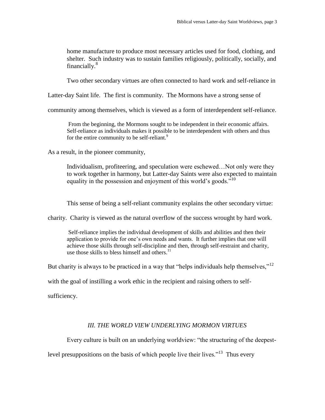home manufacture to produce most necessary articles used for food, clothing, and shelter. Such industry was to sustain families religiously, politically, socially, and financially.<sup>8</sup>

Two other secondary virtues are often connected to hard work and self-reliance in

Latter-day Saint life. The first is community. The Mormons have a strong sense of

community among themselves, which is viewed as a form of interdependent self-reliance.

From the beginning, the Mormons sought to be independent in their economic affairs. Self-reliance as individuals makes it possible to be interdependent with others and thus for the entire community to be self-reliant.<sup>9</sup>

As a result, in the pioneer community,

Individualism, profiteering, and speculation were eschewed…Not only were they to work together in harmony, but Latter-day Saints were also expected to maintain equality in the possession and enjoyment of this world's goods."<sup>10</sup>

This sense of being a self-reliant community explains the other secondary virtue:

charity. Charity is viewed as the natural overflow of the success wrought by hard work.

Self-reliance implies the individual development of skills and abilities and then their application to provide for one's own needs and wants. It further implies that one will achieve those skills through self-discipline and then, through self-restraint and charity, use those skills to bless himself and others.<sup>11</sup>

But charity is always to be practiced in a way that "helps individuals help themselves,"<sup>12</sup>

with the goal of instilling a work ethic in the recipient and raising others to self-

sufficiency.

### *III. THE WORLD VIEW UNDERLYING MORMON VIRTUES*

Every culture is built on an underlying worldview: "the structuring of the deepest-

level presuppositions on the basis of which people live their lives."<sup>13</sup> Thus every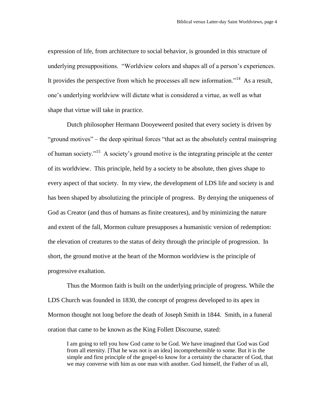expression of life, from architecture to social behavior, is grounded in this structure of underlying presuppositions. "Worldview colors and shapes all of a person's experiences. It provides the perspective from which he processes all new information."<sup>14</sup> As a result, one's underlying worldview will dictate what is considered a virtue, as well as what shape that virtue will take in practice.

Dutch philosopher Hermann Dooyeweerd posited that every society is driven by "ground motives" – the deep spiritual forces "that act as the absolutely central mainspring of human society."<sup>15</sup> A society's ground motive is the integrating principle at the center of its worldview. This principle, held by a society to be absolute, then gives shape to every aspect of that society. In my view, the development of LDS life and society is and has been shaped by absolutizing the principle of progress. By denying the uniqueness of God as Creator (and thus of humans as finite creatures), and by minimizing the nature and extent of the fall, Mormon culture presupposes a humanistic version of redemption: the elevation of creatures to the status of deity through the principle of progression. In short, the ground motive at the heart of the Mormon worldview is the principle of progressive exaltation.

Thus the Mormon faith is built on the underlying principle of progress. While the LDS Church was founded in 1830, the concept of progress developed to its apex in Mormon thought not long before the death of Joseph Smith in 1844. Smith, in a funeral oration that came to be known as the King Follett Discourse, stated:

I am going to tell you how God came to be God. We have imagined that God was God from all eternity. [That he was not is an idea] incomprehensible to some. But it is the simple and first principle of the gospel-to know for a certainty the character of God, that we may converse with him as one man with another. God himself, the Father of us all,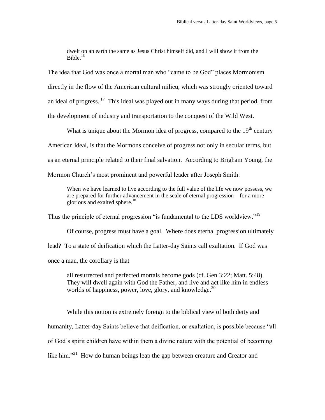dwelt on an earth the same as Jesus Christ himself did, and I will show it from the Bible. $16$ 

The idea that God was once a mortal man who "came to be God" places Mormonism directly in the flow of the American cultural milieu, which was strongly oriented toward an ideal of progress.  $17$  This ideal was played out in many ways during that period, from the development of industry and transportation to the conquest of the Wild West.

What is unique about the Mormon idea of progress, compared to the  $19<sup>th</sup>$  century American ideal, is that the Mormons conceive of progress not only in secular terms, but as an eternal principle related to their final salvation. According to Brigham Young, the Mormon Church's most prominent and powerful leader after Joseph Smith:

When we have learned to live according to the full value of the life we now possess, we are prepared for further advancement in the scale of eternal progression – for a more glorious and exalted sphere. $18$ 

Thus the principle of eternal progression "is fundamental to the LDS worldview."<sup>19</sup>

Of course, progress must have a goal. Where does eternal progression ultimately lead? To a state of deification which the Latter-day Saints call exaltation. If God was once a man, the corollary is that

all resurrected and perfected mortals become gods (cf. Gen 3:22; Matt. 5:48). They will dwell again with God the Father, and live and act like him in endless worlds of happiness, power, love, glory, and knowledge.<sup>20</sup>

While this notion is extremely foreign to the biblical view of both deity and humanity, Latter-day Saints believe that deification, or exaltation, is possible because "all of God's spirit children have within them a divine nature with the potential of becoming like him."<sup>21</sup> How do human beings leap the gap between creature and Creator and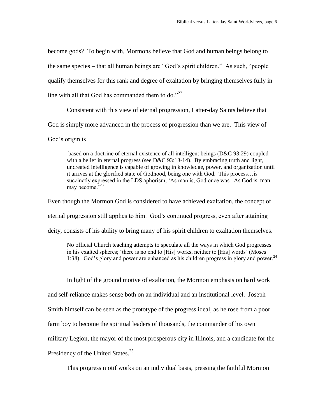become gods? To begin with, Mormons believe that God and human beings belong to the same species – that all human beings are "God's spirit children." As such, "people qualify themselves for this rank and degree of exaltation by bringing themselves fully in line with all that God has commanded them to do." $^{22}$ 

Consistent with this view of eternal progression, Latter-day Saints believe that God is simply more advanced in the process of progression than we are. This view of

God's origin is

based on a doctrine of eternal existence of all intelligent beings (D&C 93:29) coupled with a belief in eternal progress (see D&C 93:13-14). By embracing truth and light, uncreated intelligence is capable of growing in knowledge, power, and organization until it arrives at the glorified state of Godhood, being one with God. This process…is succinctly expressed in the LDS aphorism, 'As man is, God once was. As God is, man may become. $3^{23}$ 

Even though the Mormon God is considered to have achieved exaltation, the concept of eternal progression still applies to him. God's continued progress, even after attaining deity, consists of his ability to bring many of his spirit children to exaltation themselves.

No official Church teaching attempts to speculate all the ways in which God progresses in his exalted spheres; 'there is no end to [His] works, neither to [His] words' (Moses 1:38). God's glory and power are enhanced as his children progress in glory and power. $^{24}$ 

In light of the ground motive of exaltation, the Mormon emphasis on hard work and self-reliance makes sense both on an individual and an institutional level. Joseph Smith himself can be seen as the prototype of the progress ideal, as he rose from a poor farm boy to become the spiritual leaders of thousands, the commander of his own military Legion, the mayor of the most prosperous city in Illinois, and a candidate for the Presidency of the United States.<sup>25</sup>

This progress motif works on an individual basis, pressing the faithful Mormon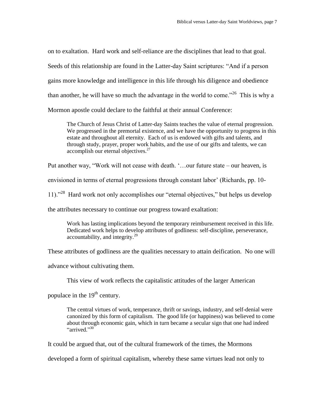on to exaltation. Hard work and self-reliance are the disciplines that lead to that goal. Seeds of this relationship are found in the Latter-day Saint scriptures: "And if a person gains more knowledge and intelligence in this life through his diligence and obedience than another, he will have so much the advantage in the world to come."<sup>26</sup> This is why a Mormon apostle could declare to the faithful at their annual Conference:

The Church of Jesus Christ of Latter-day Saints teaches the value of eternal progression. We progressed in the premortal existence, and we have the opportunity to progress in this estate and throughout all eternity. Each of us is endowed with gifts and talents, and through study, prayer, proper work habits, and the use of our gifts and talents, we can accomplish our eternal objectives.<sup>27</sup>

Put another way, "Work will not cease with death. '…our future state – our heaven, is

envisioned in terms of eternal progressions through constant labor' (Richards, pp. 10-

11)."<sup>28</sup> Hard work not only accomplishes our "eternal objectives," but helps us develop

the attributes necessary to continue our progress toward exaltation:

Work has lasting implications beyond the temporary reimbursement received in this life. Dedicated work helps to develop attributes of godliness: self-discipline, perseverance, accountability, and integrity.<sup>29</sup>

These attributes of godliness are the qualities necessary to attain deification. No one will

advance without cultivating them.

This view of work reflects the capitalistic attitudes of the larger American

populace in the  $19<sup>th</sup>$  century.

The central virtues of work, temperance, thrift or savings, industry, and self-denial were canonized by this form of capitalism. The good life (or happiness) was believed to come about through economic gain, which in turn became a secular sign that one had indeed "arrived."<sup>30</sup>

It could be argued that, out of the cultural framework of the times, the Mormons

developed a form of spiritual capitalism, whereby these same virtues lead not only to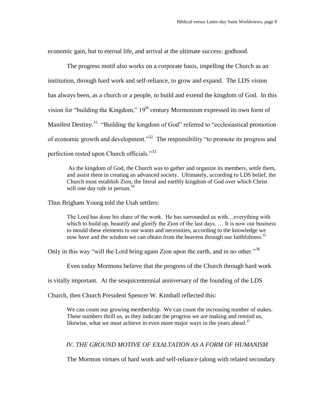economic gain, but to eternal life, and arrival at the ultimate success: godhood.

The progress motif also works on a corporate basis, impelling the Church as an institution, through hard work and self-reliance, to grow and expand. The LDS vision has always been, as a church or a people, to build and extend the kingdom of God. In this vision for "building the Kingdom,"  $19<sup>th</sup>$  century Mormonism expressed its own form of Manifest Destiny.<sup>31</sup> "Building the kingdom of God" referred to "ecclesiastical promotion of economic growth and development."<sup>32</sup> The responsibility "to promote its progress and perfection rested upon Church officials."<sup>33</sup>

As the kingdom of God, the Church was to gather and organize its members, settle them, and assist them in creating an advanced society. Ultimately, according to LDS belief, the Church must establish Zion, the literal and earthly kingdom of God over which Christ will one day rule in person.<sup>34</sup>

Thus Brigham Young told the Utah settlers:

The Lord has done his share of the work. He has surrounded us with…everything with which to build up, beautify and glorify the Zion of the last days. ... It is now our business to mould these elements to our wants and necessities, according to the knowledge we now have and the wisdom we can obtain from the heavens through our faithfulness.<sup>35</sup>

Only in this way "will the Lord bring again Zion upon the earth, and in no other."<sup>36</sup>

Even today Mormons believe that the progress of the Church through hard work

is vitally important. At the sesquicentennial anniversary of the founding of the LDS

Church, then Church President Spencer W. Kimball reflected this:

We can count our growing membership. We can count the increasing number of stakes. These numbers thrill us, as they indicate the progress we are making and remind us, likewise, what we must achieve in even more major ways in the years ahead.<sup>37</sup>

### *IV. THE GROUND MOTIVE OF EXALTATION AS A FORM OF HUMANISM*

The Mormon virtues of hard work and self-reliance (along with related secondary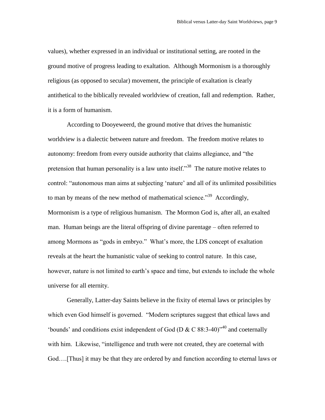values), whether expressed in an individual or institutional setting, are rooted in the ground motive of progress leading to exaltation. Although Mormonism is a thoroughly religious (as opposed to secular) movement, the principle of exaltation is clearly antithetical to the biblically revealed worldview of creation, fall and redemption. Rather, it is a form of humanism.

According to Dooyeweerd, the ground motive that drives the humanistic worldview is a dialectic between nature and freedom. The freedom motive relates to autonomy: freedom from every outside authority that claims allegiance, and "the pretension that human personality is a law unto itself.<sup> $38$ </sup> The nature motive relates to control: "autonomous man aims at subjecting 'nature' and all of its unlimited possibilities to man by means of the new method of mathematical science."<sup>39</sup> Accordingly, Mormonism is a type of religious humanism. The Mormon God is, after all, an exalted man. Human beings are the literal offspring of divine parentage – often referred to among Mormons as "gods in embryo." What's more, the LDS concept of exaltation reveals at the heart the humanistic value of seeking to control nature. In this case, however, nature is not limited to earth's space and time, but extends to include the whole universe for all eternity.

Generally, Latter-day Saints believe in the fixity of eternal laws or principles by which even God himself is governed. "Modern scriptures suggest that ethical laws and 'bounds' and conditions exist independent of God (D & C 88:3-40)<sup> $\cdot$ 40</sup> and coeternally with him. Likewise, "intelligence and truth were not created, they are coeternal with God….[Thus] it may be that they are ordered by and function according to eternal laws or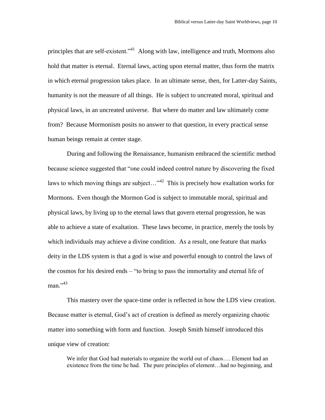principles that are self-existent."<sup>41</sup> Along with law, intelligence and truth, Mormons also hold that matter is eternal. Eternal laws, acting upon eternal matter, thus form the matrix in which eternal progression takes place. In an ultimate sense, then, for Latter-day Saints, humanity is not the measure of all things. He is subject to uncreated moral, spiritual and physical laws, in an uncreated universe. But where do matter and law ultimately come from? Because Mormonism posits no answer to that question, in every practical sense human beings remain at center stage.

During and following the Renaissance, humanism embraced the scientific method because science suggested that "one could indeed control nature by discovering the fixed laws to which moving things are subject..."<sup>42</sup> This is precisely how exaltation works for Mormons. Even though the Mormon God is subject to immutable moral, spiritual and physical laws, by living up to the eternal laws that govern eternal progression, he was able to achieve a state of exaltation. These laws become, in practice, merely the tools by which individuals may achieve a divine condition. As a result, one feature that marks deity in the LDS system is that a god is wise and powerful enough to control the laws of the cosmos for his desired ends – "to bring to pass the immortality and eternal life of  $man.$ <sup>43</sup>

This mastery over the space-time order is reflected in how the LDS view creation. Because matter is eternal, God's act of creation is defined as merely organizing chaotic matter into something with form and function. Joseph Smith himself introduced this unique view of creation:

We infer that God had materials to organize the world out of chaos…. Element had an existence from the time he had. The pure principles of element…had no beginning, and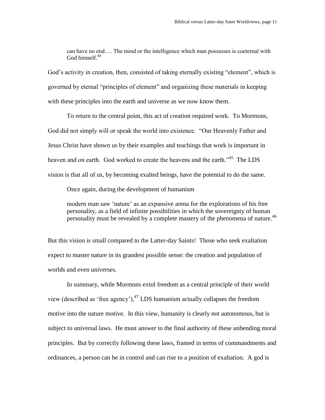can have no end…. The mind or the intelligence which man possesses is coeternal with God himself.<sup>44</sup>

God's activity in creation, then, consisted of taking eternally existing "element", which is governed by eternal "principles of element" and organizing these materials in keeping with these principles into the earth and universe as we now know them.

To return to the central point, this act of creation required work. To Mormons, God did not simply will or speak the world into existence. "Our Heavenly Father and Jesus Christ have shown us by their examples and teachings that work is important in heaven and on earth. God worked to create the heavens and the earth."<sup>45</sup> The LDS vision is that all of us, by becoming exalted beings, have the potential to do the same.

Once again, during the development of humanism

modern man saw 'nature' as an expansive arena for the explorations of his free personality, as a field of infinite possibilities in which the sovereignty of human personality must be revealed by a complete mastery of the phenomena of nature.<sup>46</sup>

But this vision is small compared to the Latter-day Saints! Those who seek exaltation expect to master nature in its grandest possible sense: the creation and population of worlds and even universes.

In summary, while Mormons extol freedom as a central principle of their world view (described as 'free agency'),  $47$  LDS humanism actually collapses the freedom motive into the nature motive. In this view, humanity is clearly not autonomous, but is subject to universal laws. He must answer to the final authority of these unbending moral principles. But by correctly following these laws, framed in terms of commandments and ordinances, a person can be in control and can rise to a position of exaltation. A god is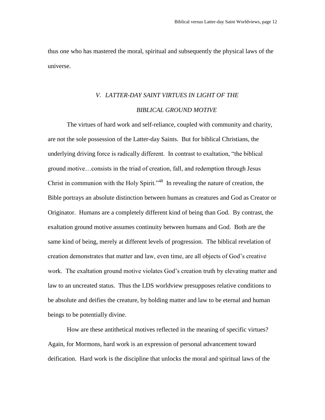thus one who has mastered the moral, spiritual and subsequently the physical laws of the universe.

# *V. LATTER-DAY SAINT VIRTUES IN LIGHT OF THE BIBLICAL GROUND MOTIVE*

The virtues of hard work and self-reliance, coupled with community and charity, are not the sole possession of the Latter-day Saints. But for biblical Christians, the underlying driving force is radically different. In contrast to exaltation, "the biblical ground motive…consists in the triad of creation, fall, and redemption through Jesus Christ in communion with the Holy Spirit."<sup>48</sup> In revealing the nature of creation, the Bible portrays an absolute distinction between humans as creatures and God as Creator or Originator. Humans are a completely different kind of being than God. By contrast, the exaltation ground motive assumes continuity between humans and God. Both are the same kind of being, merely at different levels of progression. The biblical revelation of creation demonstrates that matter and law, even time, are all objects of God's creative work. The exaltation ground motive violates God's creation truth by elevating matter and law to an uncreated status. Thus the LDS worldview presupposes relative conditions to be absolute and deifies the creature, by holding matter and law to be eternal and human beings to be potentially divine.

How are these antithetical motives reflected in the meaning of specific virtues? Again, for Mormons, hard work is an expression of personal advancement toward deification. Hard work is the discipline that unlocks the moral and spiritual laws of the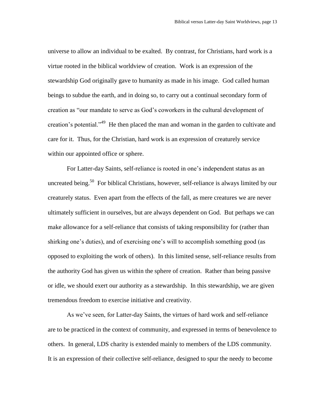universe to allow an individual to be exalted. By contrast, for Christians, hard work is a virtue rooted in the biblical worldview of creation. Work is an expression of the stewardship God originally gave to humanity as made in his image. God called human beings to subdue the earth, and in doing so, to carry out a continual secondary form of creation as "our mandate to serve as God's coworkers in the cultural development of creation's potential."<sup>49</sup> He then placed the man and woman in the garden to cultivate and care for it. Thus, for the Christian, hard work is an expression of creaturely service within our appointed office or sphere.

For Latter-day Saints, self-reliance is rooted in one's independent status as an uncreated being.<sup>50</sup> For biblical Christians, however, self-reliance is always limited by our creaturely status. Even apart from the effects of the fall, as mere creatures we are never ultimately sufficient in ourselves, but are always dependent on God. But perhaps we can make allowance for a self-reliance that consists of taking responsibility for (rather than shirking one's duties), and of exercising one's will to accomplish something good (as opposed to exploiting the work of others). In this limited sense, self-reliance results from the authority God has given us within the sphere of creation. Rather than being passive or idle, we should exert our authority as a stewardship. In this stewardship, we are given tremendous freedom to exercise initiative and creativity.

As we've seen, for Latter-day Saints, the virtues of hard work and self-reliance are to be practiced in the context of community, and expressed in terms of benevolence to others. In general, LDS charity is extended mainly to members of the LDS community. It is an expression of their collective self-reliance, designed to spur the needy to become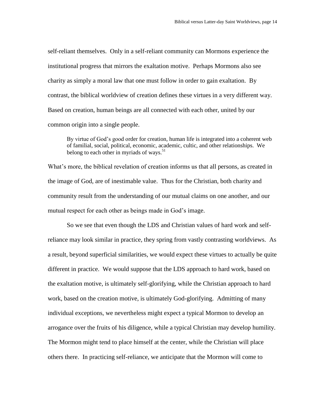self-reliant themselves. Only in a self-reliant community can Mormons experience the institutional progress that mirrors the exaltation motive. Perhaps Mormons also see charity as simply a moral law that one must follow in order to gain exaltation. By contrast, the biblical worldview of creation defines these virtues in a very different way. Based on creation, human beings are all connected with each other, united by our common origin into a single people.

By virtue of God's good order for creation, human life is integrated into a coherent web of familial, social, political, economic, academic, cultic, and other relationships. We belong to each other in myriads of ways.<sup>51</sup>

What's more, the biblical revelation of creation informs us that all persons, as created in the image of God, are of inestimable value. Thus for the Christian, both charity and community result from the understanding of our mutual claims on one another, and our mutual respect for each other as beings made in God's image.

So we see that even though the LDS and Christian values of hard work and selfreliance may look similar in practice, they spring from vastly contrasting worldviews. As a result, beyond superficial similarities, we would expect these virtues to actually be quite different in practice. We would suppose that the LDS approach to hard work, based on the exaltation motive, is ultimately self-glorifying, while the Christian approach to hard work, based on the creation motive, is ultimately God-glorifying. Admitting of many individual exceptions, we nevertheless might expect a typical Mormon to develop an arrogance over the fruits of his diligence, while a typical Christian may develop humility. The Mormon might tend to place himself at the center, while the Christian will place others there. In practicing self-reliance, we anticipate that the Mormon will come to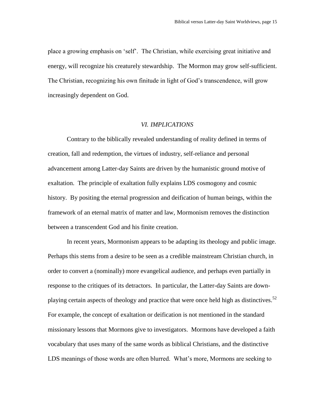place a growing emphasis on 'self'. The Christian, while exercising great initiative and energy, will recognize his creaturely stewardship. The Mormon may grow self-sufficient. The Christian, recognizing his own finitude in light of God's transcendence, will grow increasingly dependent on God.

#### *VI. IMPLICATIONS*

Contrary to the biblically revealed understanding of reality defined in terms of creation, fall and redemption, the virtues of industry, self-reliance and personal advancement among Latter-day Saints are driven by the humanistic ground motive of exaltation. The principle of exaltation fully explains LDS cosmogony and cosmic history. By positing the eternal progression and deification of human beings, within the framework of an eternal matrix of matter and law, Mormonism removes the distinction between a transcendent God and his finite creation.

In recent years, Mormonism appears to be adapting its theology and public image. Perhaps this stems from a desire to be seen as a credible mainstream Christian church, in order to convert a (nominally) more evangelical audience, and perhaps even partially in response to the critiques of its detractors. In particular, the Latter-day Saints are downplaying certain aspects of theology and practice that were once held high as distinctives.<sup>52</sup> For example, the concept of exaltation or deification is not mentioned in the standard missionary lessons that Mormons give to investigators. Mormons have developed a faith vocabulary that uses many of the same words as biblical Christians, and the distinctive LDS meanings of those words are often blurred. What's more, Mormons are seeking to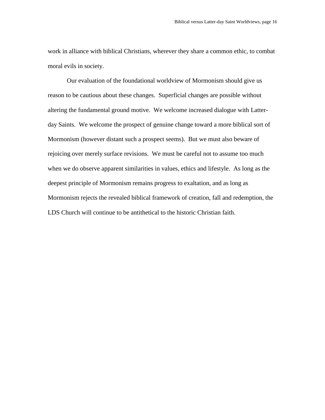work in alliance with biblical Christians, wherever they share a common ethic, to combat moral evils in society.

Our evaluation of the foundational worldview of Mormonism should give us reason to be cautious about these changes. Superficial changes are possible without altering the fundamental ground motive. We welcome increased dialogue with Latterday Saints. We welcome the prospect of genuine change toward a more biblical sort of Mormonism (however distant such a prospect seems). But we must also beware of rejoicing over merely surface revisions. We must be careful not to assume too much when we do observe apparent similarities in values, ethics and lifestyle. As long as the deepest principle of Mormonism remains progress to exaltation, and as long as Mormonism rejects the revealed biblical framework of creation, fall and redemption, the LDS Church will continue to be antithetical to the historic Christian faith.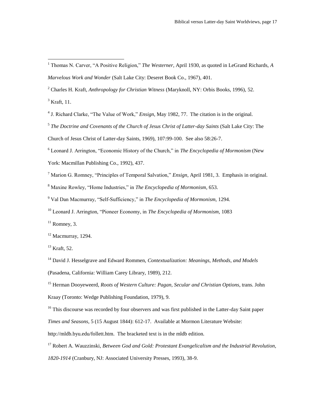<sup>2</sup> Charles H. Kraft, *Anthropology for Christian Witness* (Maryknoll, NY: Orbis Books, 1996), 52.

 $3$  Kraft, 11.

 $\overline{a}$ 

4 J. Richard Clarke, "The Value of Work," *Ensign*, May 1982, 77. The citation is in the original.

5 *The Doctrine and Covenants of the Church of Jesus Christ of Latter-day Saints* (Salt Lake City: The Church of Jesus Christ of Latter-day Saints, 1969), 107:99-100. See also 58:26-7.

<sup>6</sup> Leonard J. Arrington, "Economic History of the Church," in *The Encyclopedia of Mormonism* (New York: Macmillan Publishing Co., 1992), 437.

<sup>7</sup> Marion G. Romney, "Principles of Temporal Salvation," *Ensign*, April 1981, 3. Emphasis in original.

- <sup>8</sup> Maxine Rowley, "Home Industries," in *The Encyclopedia of Mormonism*, 653.
- <sup>9</sup> Val Dan Macmurray, "Self-Sufficiency," in *The Encyclopedia of Mormonism,* 1294.
- <sup>10</sup> Leonard J. Arrington, "Pioneer Economy, in *The Encyclopedia of Mormonism,* 1083

 $11$  Romney, 3.

<sup>14</sup> David J. Hesselgrave and Edward Rommen, *Contextualization: Meanings, Methods, and Models* (Pasadena, California: William Carey Library, 1989), 212.

<sup>15</sup> Herman Dooyeweerd, *Roots of Western Culture: Pagan, Secular and Christian Options*, trans. John Kraay (Toronto: Wedge Publishing Foundation, 1979), 9.

<sup>16</sup> This discourse was recorded by four observers and was first published in the Latter-day Saint paper *Times and Seasons*, 5 (15 August 1844): 612-17. Available at Mormon Literature Website:

[http://mldb.byu.edu/follett.htm.](http://mldb.byu.edu/follett.htm) The bracketed text is in the mldb edition.

<sup>17</sup> Robert A. Wauzzinski, *Between God and Gold: Protestant Evangelicalism and the Industrial Revolution, 1820-1914* (Cranbury, NJ: Associated University Presses, 1993), 38-9.

<sup>1</sup> Thomas N. Carver, "A Positive Religion," *The Westerner*, April 1930, as quoted in LeGrand Richards, *A Marvelous Work and Wonder* (Salt Lake City: Deseret Book Co., 1967), 401.

<sup>12</sup> Macmurray*,* 1294.

<sup>13</sup> Kraft, 52.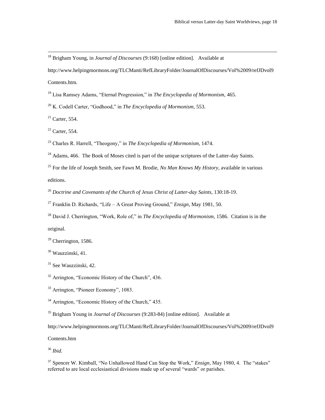<sup>18</sup> Brigham Young, in *Journal of Discourses* (9:168) [online edition]. Available at

http://www.helpingmormons.org/TLCManti/RefLibraryFolder/JournalOfDiscourses/Vol%2009/refJDvol9 Contents.htm.

<sup>19</sup> Lisa Ramsey Adams, "Eternal Progression," in *The Encyclopedia of Mormonism,* 465.

<sup>20</sup> K. Codell Carter, "Godhood," in *The Encyclopedia of Mormonism,* 553.

 $21$  Carter, 554.

 $\overline{a}$ 

 $22$  Carter, 554.

<sup>23</sup> Charles R. Harrell, "Theogony," in *The Encyclopedia of Mormonism*, 1474.

 $^{24}$  Adams, 466. The Book of Moses cited is part of the unique scriptures of the Latter-day Saints.

<sup>25</sup> For the life of Joseph Smith, see Fawn M. Brodie, *No Man Knows My History*, available in various editions.

<sup>26</sup> *Doctrine and Covenants of the Church of Jesus Christ of Latter-day Saints*, 130:18-19.

<sup>27</sup> Franklin D. Richards, "Life – A Great Proving Ground," *Ensign*, May 1981, 50.

<sup>28</sup> David J. Cherrington, "Work, Role of," in *The Encyclopedia of Mormonism,* 1586. Citation is in the original.

 $29$  Cherrington, 1586.

 $30$  Wauzzinski, 41.

<sup>31</sup> See Wauzzinski, 42.

 $32$  Arrington, "Economic History of the Church", 436.

<sup>33</sup> Arrington, "Pioneer Economy", 1083.

 $34$  Arrington, "Economic History of the Church," 435.

<sup>35</sup> Brigham Young in *Journal of Discourses* (9:283-84) [online edition]. Available at

[http://www.helpingmormons.org/TLCManti/RefLibraryFolder/JournalOfDiscourses/Vol%2009/refJDvol9](http://www.helpingmormons.org/TLCManti/RefLibraryFolder/JournalOfDiscourses/Vol%2009/refJDvol9Contents.htm)

[Contents.htm](http://www.helpingmormons.org/TLCManti/RefLibraryFolder/JournalOfDiscourses/Vol%2009/refJDvol9Contents.htm)

<sup>36</sup> *Ibid.*

<sup>37</sup> Spencer W. Kimball, "No Unhallowed Hand Can Stop the Work," *Ensign*, May 1980, 4. The "stakes" referred to are local ecclesiastical divisions made up of several "wards" or parishes.